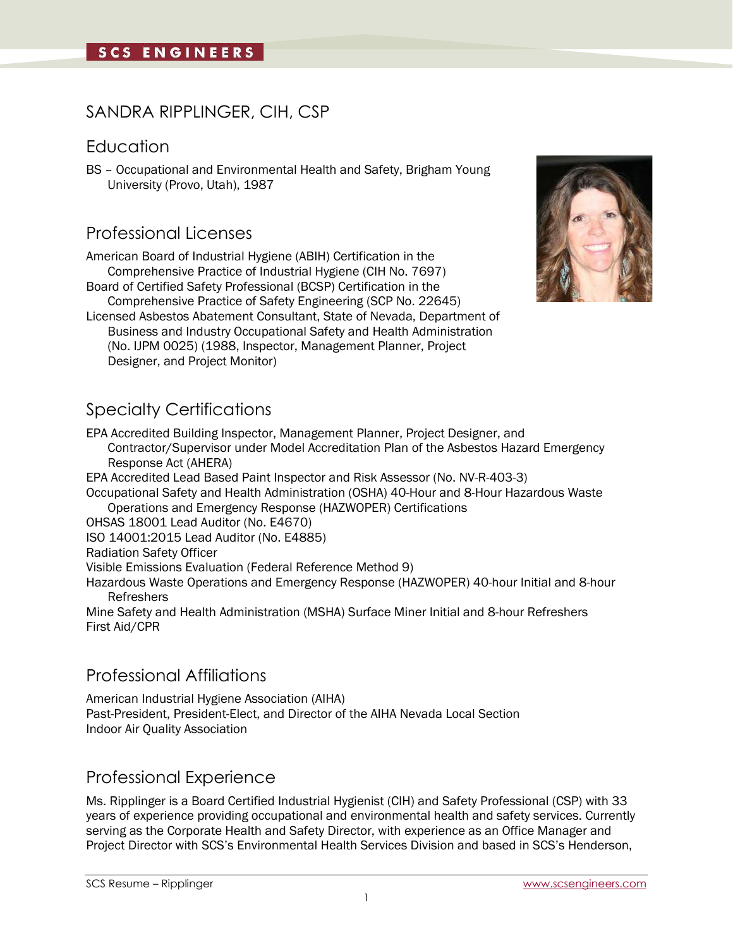## SANDRA RIPPLINGER, CIH, CSP

### **Education**

BS – Occupational and Environmental Health and Safety, Brigham Young University (Provo, Utah), 1987

### Professional Licenses

American Board of Industrial Hygiene (ABIH) Certification in the Comprehensive Practice of Industrial Hygiene (CIH No. 7697)

Board of Certified Safety Professional (BCSP) Certification in the Comprehensive Practice of Safety Engineering (SCP No. 22645)

Licensed Asbestos Abatement Consultant, State of Nevada, Department of Business and Industry Occupational Safety and Health Administration (No. IJPM 0025) (1988, Inspector, Management Planner, Project Designer, and Project Monitor)

# Specialty Certifications

EPA Accredited Building Inspector, Management Planner, Project Designer, and Contractor/Supervisor under Model Accreditation Plan of the Asbestos Hazard Emergency Response Act (AHERA)

EPA Accredited Lead Based Paint Inspector and Risk Assessor (No. NV-R-403-3) Occupational Safety and Health Administration (OSHA) 40-Hour and 8-Hour Hazardous Waste Operations and Emergency Response (HAZWOPER) Certifications OHSAS 18001 Lead Auditor (No. E4670)

ISO 14001:2015 Lead Auditor (No. E4885)

Radiation Safety Officer

Visible Emissions Evaluation (Federal Reference Method 9)

Hazardous Waste Operations and Emergency Response (HAZWOPER) 40-hour Initial and 8-hour Refreshers

Mine Safety and Health Administration (MSHA) Surface Miner Initial and 8-hour Refreshers First Aid/CPR

# Professional Affiliations

American Industrial Hygiene Association (AIHA) Past-President, President-Elect, and Director of the AIHA Nevada Local Section Indoor Air Quality Association

## Professional Experience

Ms. Ripplinger is a Board Certified Industrial Hygienist (CIH) and Safety Professional (CSP) with 33 years of experience providing occupational and environmental health and safety services. Currently serving as the Corporate Health and Safety Director, with experience as an Office Manager and Project Director with SCS's Environmental Health Services Division and based in SCS's Henderson,

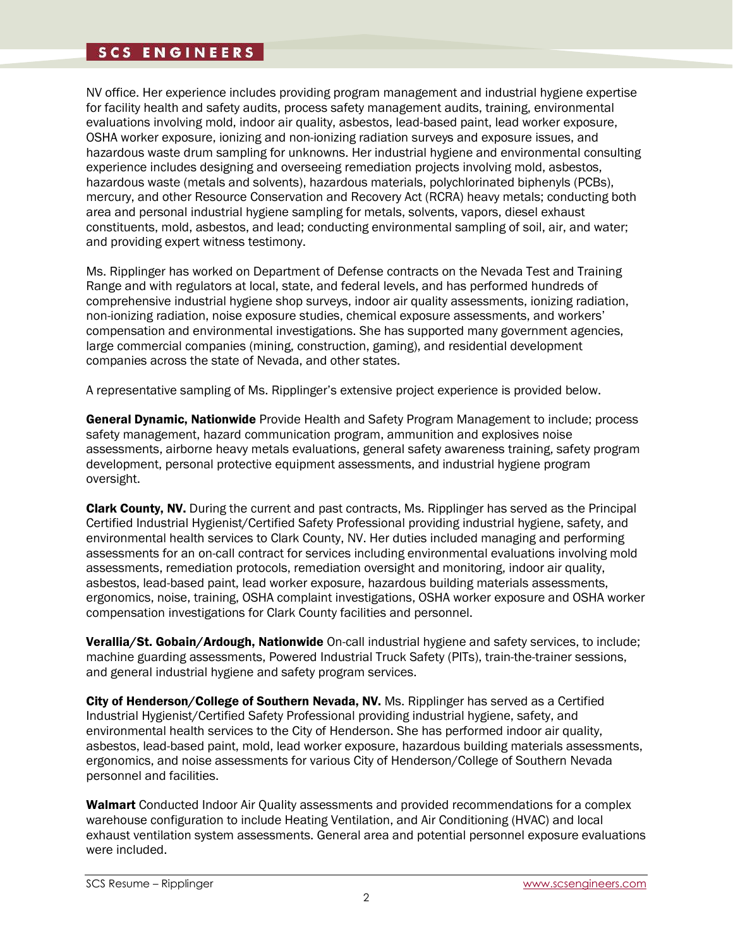### **SCS ENGINEERS**

NV office. Her experience includes providing program management and industrial hygiene expertise for facility health and safety audits, process safety management audits, training, environmental evaluations involving mold, indoor air quality, asbestos, lead-based paint, lead worker exposure, OSHA worker exposure, ionizing and non-ionizing radiation surveys and exposure issues, and hazardous waste drum sampling for unknowns. Her industrial hygiene and environmental consulting experience includes designing and overseeing remediation projects involving mold, asbestos, hazardous waste (metals and solvents), hazardous materials, polychlorinated biphenyls (PCBs), mercury, and other Resource Conservation and Recovery Act (RCRA) heavy metals; conducting both area and personal industrial hygiene sampling for metals, solvents, vapors, diesel exhaust constituents, mold, asbestos, and lead; conducting environmental sampling of soil, air, and water; and providing expert witness testimony.

Ms. Ripplinger has worked on Department of Defense contracts on the Nevada Test and Training Range and with regulators at local, state, and federal levels, and has performed hundreds of comprehensive industrial hygiene shop surveys, indoor air quality assessments, ionizing radiation, non-ionizing radiation, noise exposure studies, chemical exposure assessments, and workers' compensation and environmental investigations. She has supported many government agencies, large commercial companies (mining, construction, gaming), and residential development companies across the state of Nevada, and other states.

A representative sampling of Ms. Ripplinger's extensive project experience is provided below.

General Dynamic, Nationwide Provide Health and Safety Program Management to include; process safety management, hazard communication program, ammunition and explosives noise assessments, airborne heavy metals evaluations, general safety awareness training, safety program development, personal protective equipment assessments, and industrial hygiene program oversight.

**Clark County. NV.** During the current and past contracts. Ms. Ripplinger has served as the Principal Certified Industrial Hygienist/Certified Safety Professional providing industrial hygiene, safety, and environmental health services to Clark County, NV. Her duties included managing and performing assessments for an on-call contract for services including environmental evaluations involving mold assessments, remediation protocols, remediation oversight and monitoring, indoor air quality, asbestos, lead-based paint, lead worker exposure, hazardous building materials assessments, ergonomics, noise, training, OSHA complaint investigations, OSHA worker exposure and OSHA worker compensation investigations for Clark County facilities and personnel.

Verallia/St. Gobain/Ardough, Nationwide On-call industrial hygiene and safety services, to include; machine guarding assessments, Powered Industrial Truck Safety (PITs), train-the-trainer sessions, and general industrial hygiene and safety program services.

City of Henderson/College of Southern Nevada, NV. Ms. Ripplinger has served as a Certified Industrial Hygienist/Certified Safety Professional providing industrial hygiene, safety, and environmental health services to the City of Henderson. She has performed indoor air quality, asbestos, lead-based paint, mold, lead worker exposure, hazardous building materials assessments, ergonomics, and noise assessments for various City of Henderson/College of Southern Nevada personnel and facilities.

**Walmart** Conducted Indoor Air Quality assessments and provided recommendations for a complex warehouse configuration to include Heating Ventilation, and Air Conditioning (HVAC) and local exhaust ventilation system assessments. General area and potential personnel exposure evaluations were included.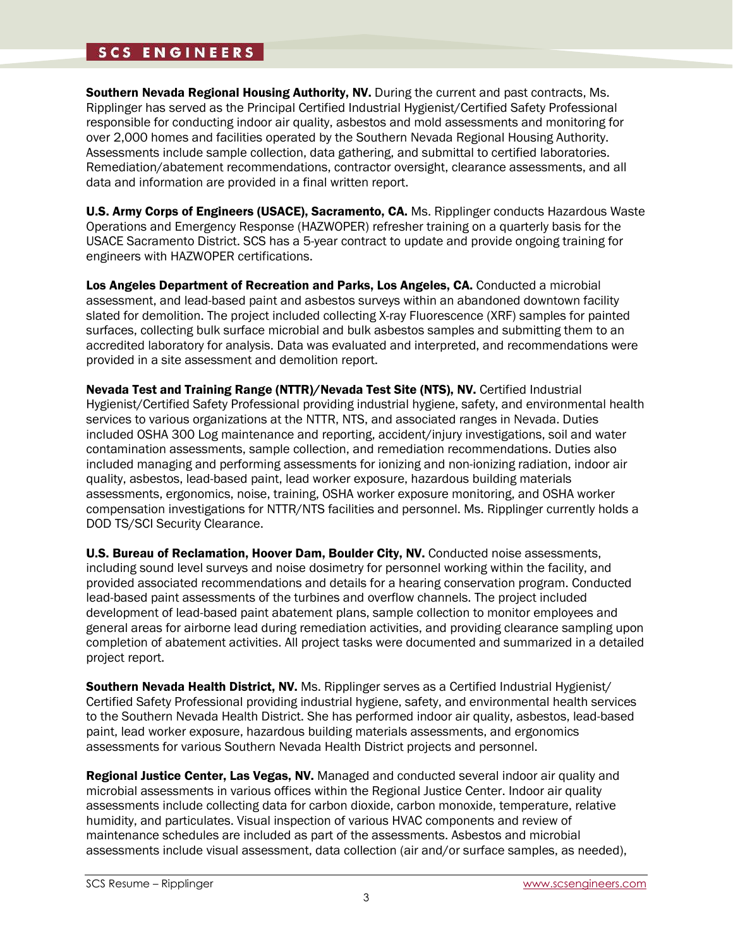### **SCS ENGINEERS**

Southern Nevada Regional Housing Authority, NV. During the current and past contracts, Ms. Ripplinger has served as the Principal Certified Industrial Hygienist/Certified Safety Professional responsible for conducting indoor air quality, asbestos and mold assessments and monitoring for over 2,000 homes and facilities operated by the Southern Nevada Regional Housing Authority. Assessments include sample collection, data gathering, and submittal to certified laboratories. Remediation/abatement recommendations, contractor oversight, clearance assessments, and all data and information are provided in a final written report.

U.S. Army Corps of Engineers (USACE), Sacramento, CA. Ms. Ripplinger conducts Hazardous Waste Operations and Emergency Response (HAZWOPER) refresher training on a quarterly basis for the USACE Sacramento District. SCS has a 5-year contract to update and provide ongoing training for engineers with HAZWOPER certifications.

Los Angeles Department of Recreation and Parks, Los Angeles, CA. Conducted a microbial assessment, and lead-based paint and asbestos surveys within an abandoned downtown facility slated for demolition. The project included collecting X-ray Fluorescence (XRF) samples for painted surfaces, collecting bulk surface microbial and bulk asbestos samples and submitting them to an accredited laboratory for analysis. Data was evaluated and interpreted, and recommendations were provided in a site assessment and demolition report.

Nevada Test and Training Range (NTTR)/Nevada Test Site (NTS), NV. Certified Industrial Hygienist/Certified Safety Professional providing industrial hygiene, safety, and environmental health services to various organizations at the NTTR, NTS, and associated ranges in Nevada. Duties included OSHA 300 Log maintenance and reporting, accident/injury investigations, soil and water contamination assessments, sample collection, and remediation recommendations. Duties also included managing and performing assessments for ionizing and non-ionizing radiation, indoor air quality, asbestos, lead-based paint, lead worker exposure, hazardous building materials assessments, ergonomics, noise, training, OSHA worker exposure monitoring, and OSHA worker compensation investigations for NTTR/NTS facilities and personnel. Ms. Ripplinger currently holds a DOD TS/SCI Security Clearance.

U.S. Bureau of Reclamation, Hoover Dam, Boulder City, NV. Conducted noise assessments, including sound level surveys and noise dosimetry for personnel working within the facility, and provided associated recommendations and details for a hearing conservation program. Conducted lead-based paint assessments of the turbines and overflow channels. The project included development of lead-based paint abatement plans, sample collection to monitor employees and general areas for airborne lead during remediation activities, and providing clearance sampling upon completion of abatement activities. All project tasks were documented and summarized in a detailed project report.

Southern Nevada Health District, NV. Ms. Ripplinger serves as a Certified Industrial Hygienist/ Certified Safety Professional providing industrial hygiene, safety, and environmental health services to the Southern Nevada Health District. She has performed indoor air quality, asbestos, lead-based paint, lead worker exposure, hazardous building materials assessments, and ergonomics assessments for various Southern Nevada Health District projects and personnel.

Regional Justice Center, Las Vegas, NV. Managed and conducted several indoor air quality and microbial assessments in various offices within the Regional Justice Center. Indoor air quality assessments include collecting data for carbon dioxide, carbon monoxide, temperature, relative humidity, and particulates. Visual inspection of various HVAC components and review of maintenance schedules are included as part of the assessments. Asbestos and microbial assessments include visual assessment, data collection (air and/or surface samples, as needed),